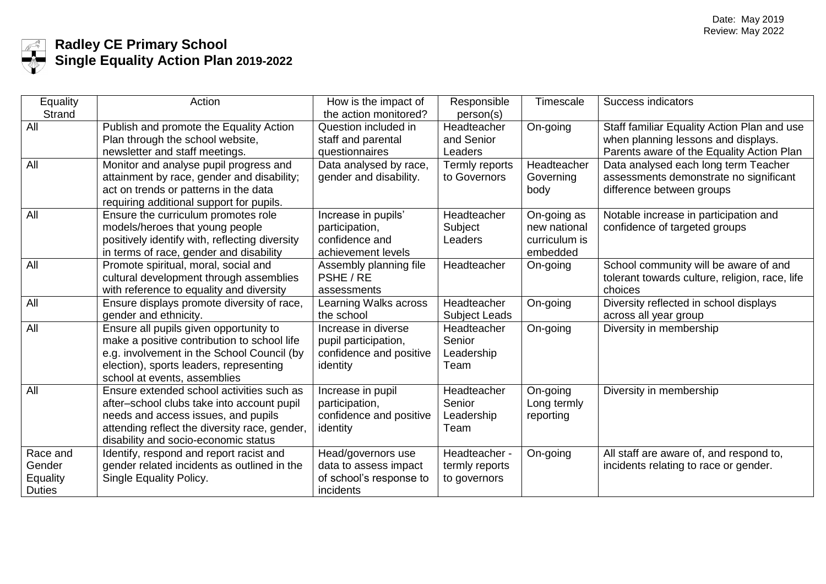

## **Radley CE Primary School Single Equality Action Plan 2019-2022**

| Equality        | Action                                         | How is the impact of    | Responsible          | <b>Timescale</b> | Success indicators                             |
|-----------------|------------------------------------------------|-------------------------|----------------------|------------------|------------------------------------------------|
| <b>Strand</b>   |                                                | the action monitored?   | person(s)            |                  |                                                |
| All             | Publish and promote the Equality Action        | Question included in    | Headteacher          | On-going         | Staff familiar Equality Action Plan and use    |
|                 | Plan through the school website,               | staff and parental      | and Senior           |                  | when planning lessons and displays.            |
|                 | newsletter and staff meetings.                 | questionnaires          | Leaders              |                  | Parents aware of the Equality Action Plan      |
| All             | Monitor and analyse pupil progress and         | Data analysed by race,  | Termly reports       | Headteacher      | Data analysed each long term Teacher           |
|                 | attainment by race, gender and disability;     | gender and disability.  | to Governors         | Governing        | assessments demonstrate no significant         |
|                 | act on trends or patterns in the data          |                         |                      | body             | difference between groups                      |
|                 | requiring additional support for pupils.       |                         |                      |                  |                                                |
| All             | Ensure the curriculum promotes role            | Increase in pupils'     | Headteacher          | On-going as      | Notable increase in participation and          |
|                 | models/heroes that young people                | participation,          | Subject              | new national     | confidence of targeted groups                  |
|                 | positively identify with, reflecting diversity | confidence and          | Leaders              | curriculum is    |                                                |
|                 | in terms of race, gender and disability        | achievement levels      |                      | embedded         |                                                |
| All             | Promote spiritual, moral, social and           | Assembly planning file  | Headteacher          | On-going         | School community will be aware of and          |
|                 | cultural development through assemblies        | PSHE / RE               |                      |                  | tolerant towards culture, religion, race, life |
|                 | with reference to equality and diversity       | assessments             |                      |                  | choices                                        |
| All             | Ensure displays promote diversity of race,     | Learning Walks across   | Headteacher          | On-going         | Diversity reflected in school displays         |
|                 | gender and ethnicity.                          | the school              | <b>Subject Leads</b> |                  | across all year group                          |
| All             | Ensure all pupils given opportunity to         | Increase in diverse     | Headteacher          | On-going         | Diversity in membership                        |
|                 | make a positive contribution to school life    | pupil participation,    | Senior               |                  |                                                |
|                 | e.g. involvement in the School Council (by     | confidence and positive | Leadership           |                  |                                                |
|                 | election), sports leaders, representing        | identity                | Team                 |                  |                                                |
|                 | school at events, assemblies                   |                         |                      |                  |                                                |
| All             | Ensure extended school activities such as      | Increase in pupil       | Headteacher          | On-going         | Diversity in membership                        |
|                 | after-school clubs take into account pupil     | participation,          | Senior               | Long termly      |                                                |
|                 | needs and access issues, and pupils            | confidence and positive | Leadership           | reporting        |                                                |
|                 | attending reflect the diversity race, gender,  | identity                | Team                 |                  |                                                |
|                 | disability and socio-economic status           |                         |                      |                  |                                                |
| Race and        | Identify, respond and report racist and        | Head/governors use      | Headteacher -        | On-going         | All staff are aware of, and respond to,        |
| Gender          | gender related incidents as outlined in the    | data to assess impact   | termly reports       |                  | incidents relating to race or gender.          |
| <b>Equality</b> | Single Equality Policy.                        | of school's response to | to governors         |                  |                                                |
| <b>Duties</b>   |                                                | incidents               |                      |                  |                                                |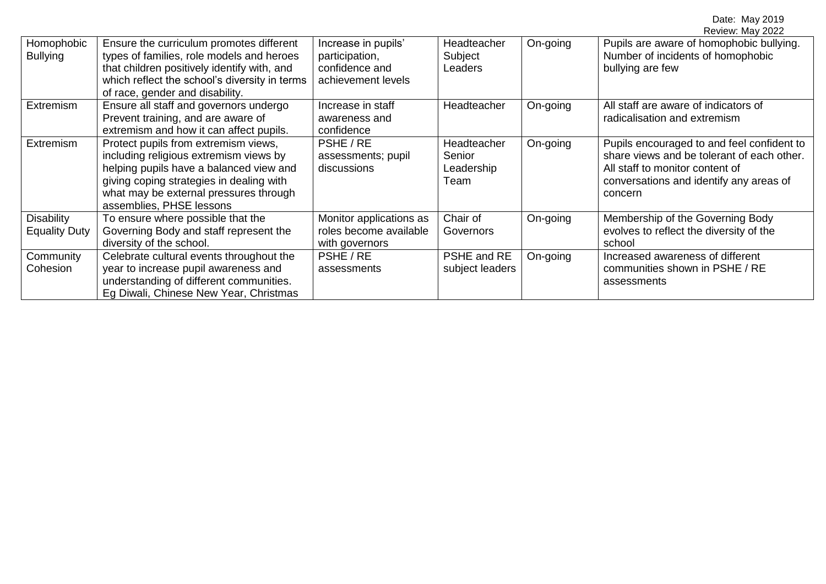|                                           |                                                                                                                                                                                                                                             |                                                                               |                                             |          | Review: May 2022                                                                                                                                                                  |
|-------------------------------------------|---------------------------------------------------------------------------------------------------------------------------------------------------------------------------------------------------------------------------------------------|-------------------------------------------------------------------------------|---------------------------------------------|----------|-----------------------------------------------------------------------------------------------------------------------------------------------------------------------------------|
| Homophobic<br><b>Bullying</b>             | Ensure the curriculum promotes different<br>types of families, role models and heroes<br>that children positively identify with, and<br>which reflect the school's diversity in terms<br>of race, gender and disability.                    | Increase in pupils'<br>participation,<br>confidence and<br>achievement levels | Headteacher<br>Subject<br>Leaders           | On-going | Pupils are aware of homophobic bullying.<br>Number of incidents of homophobic<br>bullying are few                                                                                 |
| Extremism                                 | Ensure all staff and governors undergo<br>Prevent training, and are aware of<br>extremism and how it can affect pupils.                                                                                                                     | Increase in staff<br>awareness and<br>confidence                              | Headteacher                                 | On-going | All staff are aware of indicators of<br>radicalisation and extremism                                                                                                              |
| <b>Extremism</b>                          | Protect pupils from extremism views,<br>including religious extremism views by<br>helping pupils have a balanced view and<br>giving coping strategies in dealing with<br>what may be external pressures through<br>assemblies, PHSE lessons | PSHE / RE<br>assessments; pupil<br>discussions                                | Headteacher<br>Senior<br>Leadership<br>Team | On-going | Pupils encouraged to and feel confident to<br>share views and be tolerant of each other.<br>All staff to monitor content of<br>conversations and identify any areas of<br>concern |
| <b>Disability</b><br><b>Equality Duty</b> | To ensure where possible that the<br>Governing Body and staff represent the<br>diversity of the school.                                                                                                                                     | Monitor applications as<br>roles become available<br>with governors           | Chair of<br>Governors                       | On-going | Membership of the Governing Body<br>evolves to reflect the diversity of the<br>school                                                                                             |
| Community<br>Cohesion                     | Celebrate cultural events throughout the<br>year to increase pupil awareness and<br>understanding of different communities.<br>Eg Diwali, Chinese New Year, Christmas                                                                       | PSHE / RE<br>assessments                                                      | PSHE and RE<br>subject leaders              | On-going | Increased awareness of different<br>communities shown in PSHE / RE<br>assessments                                                                                                 |

Date: May 2019